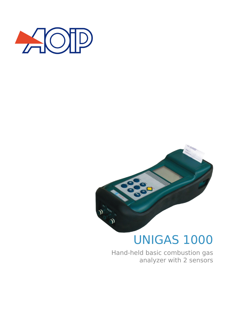



# UNIGAS 1000

Hand-held basic combustion gas analyzer with 2 sensors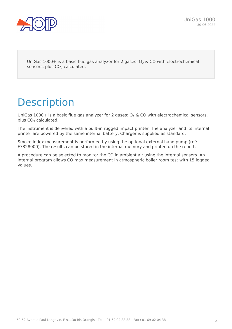UniGas 1000+ is a basic flue gas analyzer for 2 gases:  $O_2$  & CO with electrochemical sensors, plus  $CO<sub>2</sub>$  calculated.

# **Description**

UniGas 1000+ is a basic flue gas analyzer for 2 gases:  $O<sub>2</sub>$  & CO with electrochemical sensors, plus  $CO<sub>2</sub>$  calculated.

The instrument is delivered with a built-in rugged impact printer. The analyzer and its internal printer are powered by the same internal battery. Charger is supplied as standard.

Smoke index measurement is performed by using the optional external hand pump (ref: F7828000). The results can be stored in the internal memory and printed on the report.

A procedure can be selected to monitor the CO in ambient air using the internal sensors. An internal program allows CO max measurement in atmospheric boiler room test with 15 logged values.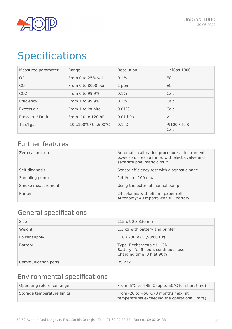

# Specifications

| Measured parameter | Range                                | Resolution      | UniGas 1000          |
|--------------------|--------------------------------------|-----------------|----------------------|
| 02                 | From 0 to $25%$ vol.                 | 0.1%            | EC                   |
| CO                 | From 0 to 8000 ppm                   | 1 ppm           | EC.                  |
| CO <sub>2</sub>    | From 0 to 99.9%                      | 0.1%            | Calc                 |
| Efficiency         | From 1 to 99.9%                      | 0.1%            | Calc                 |
| Excess air         | From 1 to infinite                   | 0.01%           | Calc                 |
| Pressure / Draft   | From -10 to 120 hPa                  | $0.01$ hPa      | ✓                    |
| Tair/Tgas          | $-10100^{\circ}$ C/ $0600^{\circ}$ C | $0.1^{\circ}$ C | Pt100 / Tc K<br>Calc |

## Further features

| Zero calibration  | Automatic calibration procedure at instrument<br>power-on. Fresh air inlet with electrovalve and<br>separate pneumatic circuit |
|-------------------|--------------------------------------------------------------------------------------------------------------------------------|
| Self-diagnosis    | Sensor efficiency test with diagnostic page                                                                                    |
| Sampling pump     | 1.4 l/min - 100 mbar                                                                                                           |
| Smoke measurement | Using the external manual pump                                                                                                 |
| Printer           | 24 columns with 58 mm paper roll<br>Autonomy: 40 reports with full battery                                                     |

## General specifications

| <b>Size</b>         | $115 \times 90 \times 330$ mm                                                                  |
|---------------------|------------------------------------------------------------------------------------------------|
| Weight              | 1.1 kg with battery and printer                                                                |
| Power supply        | 110 / 230 VAC (50/60 Hz)                                                                       |
| <b>Battery</b>      | Type: Rechargeable Li-ION<br>Battery life: 6 hours continuous use<br>Charging time: 8 h at 90% |
| Communication ports | <b>RS 232</b>                                                                                  |

## Environmental specifications

| Operating reference range  | From -5°C to +45°C (up to 50°C for short time)                                        |
|----------------------------|---------------------------------------------------------------------------------------|
| Storage temperature limits | From -20 to +50°C (3 months max. at<br>temperatures exceeding the operational limits) |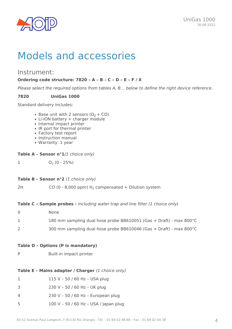

# Models and accessories

### Instrument:

#### **Ordering code structure: 7820 – A – B – C – D – E – F / X**

*Please select the required options from tables A, B… below to define the right device reference.*

#### **7820 UniGas 1000**

Standard delivery includes:

- Base unit with 2 sensors  $(O_2 + CO)$
- Li-ION battery + charger module
- Internal impact printer
- IR port for thermal printer
- Factory test report
- Instruction manual
- Warranty: 1 year

#### **Table A – Sensor n°1***(1 choice only)*

 $1 \hspace{1.5cm} 0_2 (0 - 25\%)$ 

#### **Table B – Sensor n°2** *(1 choice only)*

2H  $CO (0 - 8,000 ppm) H<sub>2</sub>$  compensated + Dilution system

**Table C – Sample probes -** *including water trap and line filter (1 choice only)*

| 0 | None.                                                              |
|---|--------------------------------------------------------------------|
|   | 180 mm sampling dual hose probe BB610051 (Gas + Draft) - max 800°C |
|   | 300 mm sampling dual hose probe BB610046 (Gas + Draft) - max 800°C |

#### **Table D – Options (P is mandatory)**

P Built-in impact printer

#### **Table E – Mains adapter / Charger** *(1 choice only)*

- 3 230 V 50 / 60 Hz UK plug
- 4 230 V 50 / 60 Hz European plug
- 5 100 V 50 / 60 Hz USA / Japan plug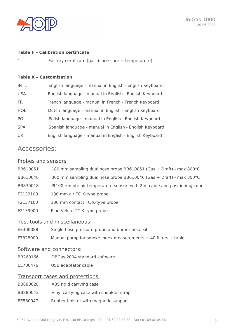

#### **Table F – Calibration certificate**

1 Factory certificate (gas + pressure + temperature)

#### **Table X – Customization**

| <b>INTL</b> | English language - manual in English - English Keyboard |
|-------------|---------------------------------------------------------|
| <b>USA</b>  | English language - manual in English - English Keyboard |
| FR.         | French language - manual in French - French Keyboard    |
| <b>HOL</b>  | Dutch language - manual in English - English Keyboard   |
| <b>POL</b>  | Polish language - manual in English - English Keyboard  |
| <b>SPA</b>  | Spanish language - manual in English - English Keyboard |
| UK.         | English language - manual in English - English Keyboard |

### Accessories:

#### Probes and sensors:

| BB610051 | 180 mm sampling dual hose probe BB610051 (Gas + Draft) - max 800 °C      |
|----------|--------------------------------------------------------------------------|
| BB610046 | 300 mm sampling dual hose probe BB610046 (Gas + Draft) - max 800 °C      |
| BB830018 | Pt100 remote air temperature sensor, with 2 m cable and positioning cone |
| F2132100 | 130 mm air TC K-type probe                                               |
| F2137100 | 130 mm contact TC K-type probe                                           |
| F2139000 | Pipe Velcro TC K-type probe                                              |
|          |                                                                          |

#### Test tools and miscellaneous:

- EE300088 Single hose pressure probe and burner hose kit
- F7828000 Manual pump for smoke index measurements + 40 filters + table

#### Software and connectors:

- BB260166 DBGas 2004 standard software
- EE700476 USB adaptator cable

### Transport cases and protections:

- BB880028 ABS rigid carrying case
- BB880043 Vinyl carrying case with shoulder strap
- EE880047 Rubber holster with magnetic support